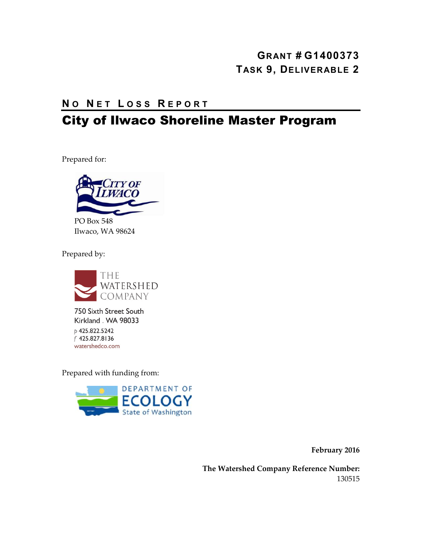#### **GRANT # G1400373 TASK 9, DELIVERABLE 2**

#### **N O N ET L OSS R EPORT**

## City of Ilwaco Shoreline Master Program

Prepared for:



Ilwaco, WA 98624

Prepared by:



750 Sixth Street South Kirkland . WA 98033 p 425.822.5242 f 425.827.8136 watershedco.com

Prepared with funding from:



**February 2016**

**The Watershed Company Reference Number:** 130515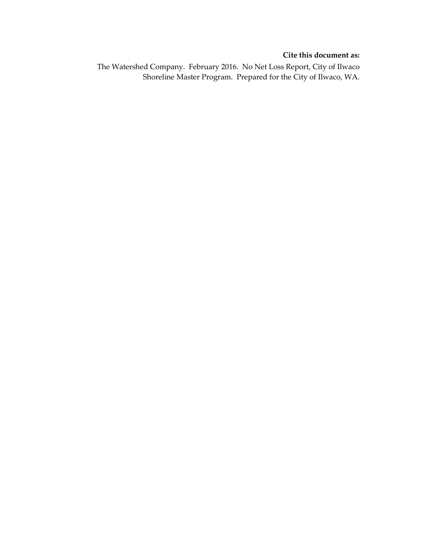#### **Cite this document as:**

The Watershed Company. February 2016. No Net Loss Report, City of Ilwaco Shoreline Master Program. Prepared for the City of Ilwaco, WA.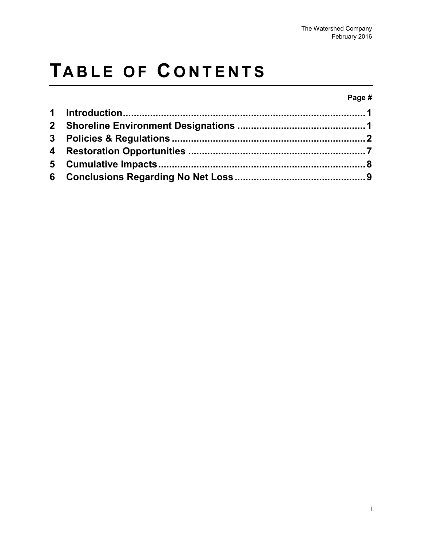# **TABLE OF C ONTENTS**

#### **Page #**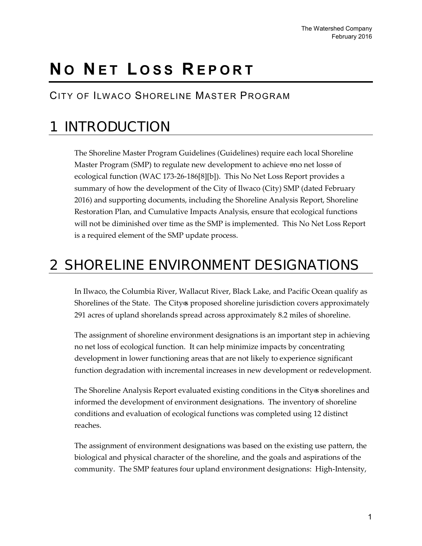# **N O N ET L OSS R EPORT**

#### CITY OF ILWACO SHORELINE MASTER PROGRAM

# <span id="page-4-0"></span>1 INTR ODUCTION

The Shoreline Master Program Guidelines (Guidelines) require each local Shoreline Master Program (SMP) to regulate new development to achieve "no net loss" of ecological function (WAC 173-26-186[8][b]). This No Net Loss Report provides a summary of how the development of the City of Ilwaco (City) SMP (dated February 2016) and supporting documents, including the Shoreline Analysis Report, Shoreline Restoration Plan, and Cumulative Impacts Analysis, ensure that ecological functions will not be diminished over time as the SMP is implemented. This No Net Loss Report is a required element of the SMP update process.

## <span id="page-4-1"></span>2 SHORELINE ENVIRONMENT DESIGNATIONS

In Ilwaco, the Columbia River, Wallacut River, Black Lake, and Pacific Ocean qualify as Shorelines of the State. The City's proposed shoreline jurisdiction covers approximately 291 acres of upland shorelands spread across approximately 8.2 miles of shoreline.

The assignment of shoreline environment designations is an important step in achieving no net loss of ecological function. It can help minimize impacts by concentrating development in lower functioning areas that are not likely to experience significant function degradation with incremental increases in new development or redevelopment.

The Shoreline Analysis Report evaluated existing conditions in the City's shorelines and informed the development of environment designations. The inventory of shoreline conditions and evaluation of ecological functions was completed using 12 distinct reaches.

The assignment of environment designations was based on the existing use pattern, the biological and physical character of the shoreline, and the goals and aspirations of the community. The SMP features four upland environment designations: High-Intensity,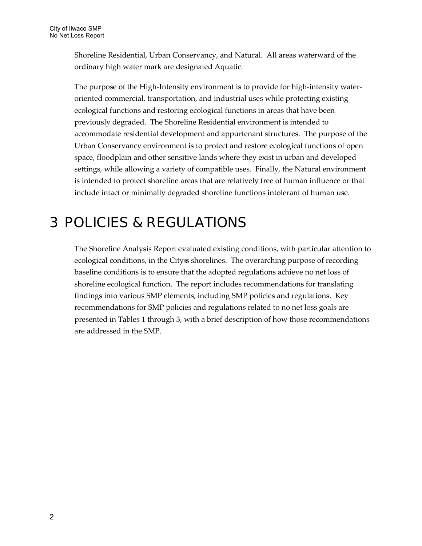Shoreline Residential, Urban Conservancy, and Natural. All areas waterward of the ordinary high water mark are designated Aquatic.

The purpose of the High-Intensity environment is to provide for high-intensity wateroriented commercial, transportation, and industrial uses while protecting existing ecological functions and restoring ecological functions in areas that have been previously degraded. The Shoreline Residential environment is intended to accommodate residential development and appurtenant structures. The purpose of the Urban Conservancy environment is to protect and restore ecological functions of open space, floodplain and other sensitive lands where they exist in urban and developed settings, while allowing a variety of compatible uses. Finally, the Natural environment is intended to protect shoreline areas that are relatively free of human influence or that include intact or minimally degraded shoreline functions intolerant of human use.

### <span id="page-5-0"></span>3 POLIC IE S & R E GULATIONS

The Shoreline Analysis Report evaluated existing conditions, with particular attention to ecological conditions, in the City's shorelines. The overarching purpose of recording baseline conditions is to ensure that the adopted regulations achieve no net loss of shoreline ecological function. The report includes recommendations for translating findings into various SMP elements, including SMP policies and regulations. Key recommendations for SMP policies and regulations related to no net loss goals are presented in Tables 1 through 3, with a brief description of how those recommendations are addressed in the SMP.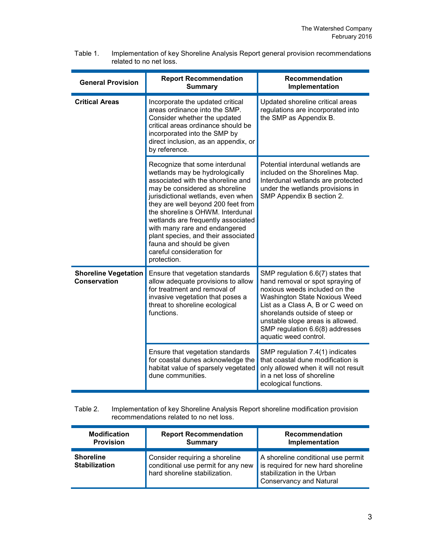| <b>General Provision</b>                           | <b>Report Recommendation</b><br><b>Summary</b>                                                                                                                                                                                                                                                                                                                                                                                                 | <b>Recommendation</b><br>Implementation                                                                                                                                                                                                                                                                        |
|----------------------------------------------------|------------------------------------------------------------------------------------------------------------------------------------------------------------------------------------------------------------------------------------------------------------------------------------------------------------------------------------------------------------------------------------------------------------------------------------------------|----------------------------------------------------------------------------------------------------------------------------------------------------------------------------------------------------------------------------------------------------------------------------------------------------------------|
| <b>Critical Areas</b>                              | Incorporate the updated critical<br>areas ordinance into the SMP.<br>Consider whether the updated<br>critical areas ordinance should be<br>incorporated into the SMP by<br>direct inclusion, as an appendix, or<br>by reference.                                                                                                                                                                                                               | Updated shoreline critical areas<br>regulations are incorporated into<br>the SMP as Appendix B.                                                                                                                                                                                                                |
|                                                    | Recognize that some interdunal<br>wetlands may be hydrologically<br>associated with the shoreline and<br>may be considered as shoreline<br>jurisdictional wetlands, even when<br>they are well beyond 200 feet from<br>the shoreline's OHWM. Interdunal<br>wetlands are frequently associated<br>with many rare and endangered<br>plant species, and their associated<br>fauna and should be given<br>careful consideration for<br>protection. | Potential interdunal wetlands are<br>included on the Shorelines Map.<br>Interdunal wetlands are protected<br>under the wetlands provisions in<br>SMP Appendix B section 2.                                                                                                                                     |
| <b>Shoreline Vegetation</b><br><b>Conservation</b> | Ensure that vegetation standards<br>allow adequate provisions to allow<br>for treatment and removal of<br>invasive vegetation that poses a<br>threat to shoreline ecological<br>functions.                                                                                                                                                                                                                                                     | SMP regulation 6.6(7) states that<br>hand removal or spot spraying of<br>noxious weeds included on the<br>Washington State Noxious Weed<br>List as a Class A, B or C weed on<br>shorelands outside of steep or<br>unstable slope areas is allowed.<br>SMP regulation 6.6(8) addresses<br>aquatic weed control. |
|                                                    | Ensure that vegetation standards<br>for coastal dunes acknowledge the<br>habitat value of sparsely vegetated<br>dune communities.                                                                                                                                                                                                                                                                                                              | SMP regulation 7.4(1) indicates<br>that coastal dune modification is<br>only allowed when it will not result<br>in a net loss of shoreline<br>ecological functions.                                                                                                                                            |

Table 1. Implementation of key Shoreline Analysis Report general provision recommendations related to no net loss.

#### Table 2. Implementation of key Shoreline Analysis Report shoreline modification provision recommendations related to no net loss.

| <b>Modification</b>                      | <b>Report Recommendation</b>                                                                          | <b>Recommendation</b>                                                                                                                    |
|------------------------------------------|-------------------------------------------------------------------------------------------------------|------------------------------------------------------------------------------------------------------------------------------------------|
| <b>Provision</b>                         | <b>Summary</b>                                                                                        | Implementation                                                                                                                           |
| <b>Shoreline</b><br><b>Stabilization</b> | Consider requiring a shoreline<br>conditional use permit for any new<br>hard shoreline stabilization. | A shoreline conditional use permit<br>is required for new hard shoreline<br>stabilization in the Urban<br><b>Conservancy and Natural</b> |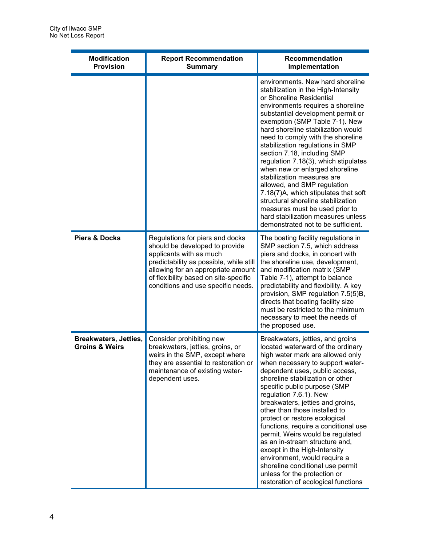| <b>Modification</b><br><b>Provision</b>                   | <b>Report Recommendation</b><br><b>Summary</b>                                                                                                                                                                                                               | Recommendation<br>Implementation                                                                                                                                                                                                                                                                                                                                                                                                                                                                                                                                                                                                                                                                 |
|-----------------------------------------------------------|--------------------------------------------------------------------------------------------------------------------------------------------------------------------------------------------------------------------------------------------------------------|--------------------------------------------------------------------------------------------------------------------------------------------------------------------------------------------------------------------------------------------------------------------------------------------------------------------------------------------------------------------------------------------------------------------------------------------------------------------------------------------------------------------------------------------------------------------------------------------------------------------------------------------------------------------------------------------------|
|                                                           |                                                                                                                                                                                                                                                              | environments. New hard shoreline<br>stabilization in the High-Intensity<br>or Shoreline Residential<br>environments requires a shoreline<br>substantial development permit or<br>exemption (SMP Table 7-1). New<br>hard shoreline stabilization would<br>need to comply with the shoreline<br>stabilization regulations in SMP<br>section 7.18, including SMP<br>regulation 7.18(3), which stipulates<br>when new or enlarged shoreline<br>stabilization measures are<br>allowed, and SMP regulation<br>7.18(7)A, which stipulates that soft<br>structural shoreline stabilization<br>measures must be used prior to<br>hard stabilization measures unless<br>demonstrated not to be sufficient. |
| <b>Piers &amp; Docks</b>                                  | Regulations for piers and docks<br>should be developed to provide<br>applicants with as much<br>predictability as possible, while still<br>allowing for an appropriate amount<br>of flexibility based on site-specific<br>conditions and use specific needs. | The boating facility regulations in<br>SMP section 7.5, which address<br>piers and docks, in concert with<br>the shoreline use, development,<br>and modification matrix (SMP<br>Table 7-1), attempt to balance<br>predictability and flexibility. A key<br>provision, SMP regulation 7.5(5)B,<br>directs that boating facility size<br>must be restricted to the minimum<br>necessary to meet the needs of<br>the proposed use.                                                                                                                                                                                                                                                                  |
| <b>Breakwaters, Jetties,</b><br><b>Groins &amp; Weirs</b> | Consider prohibiting new<br>breakwaters, jetties, groins, or<br>weirs in the SMP, except where<br>they are essential to restoration or<br>maintenance of existing water-<br>dependent uses.                                                                  | Breakwaters, jetties, and groins<br>located waterward of the ordinary<br>high water mark are allowed only<br>when necessary to support water-<br>dependent uses, public access,<br>shoreline stabilization or other<br>specific public purpose (SMP<br>regulation 7.6.1). New<br>breakwaters, jetties and groins,<br>other than those installed to<br>protect or restore ecological<br>functions, require a conditional use<br>permit. Weirs would be regulated<br>as an in-stream structure and,<br>except in the High-Intensity<br>environment, would require a<br>shoreline conditional use permit<br>unless for the protection or<br>restoration of ecological functions                     |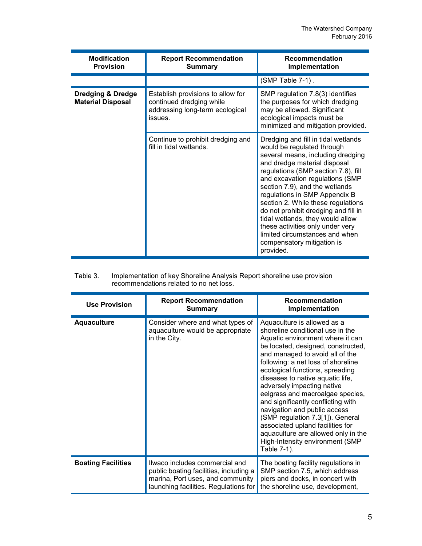| <b>Modification</b><br><b>Provision</b>                  | <b>Report Recommendation</b><br><b>Summary</b>                                                              | <b>Recommendation</b><br>Implementation                                                                                                                                                                                                                                                                                                                                                                                                                                                                                |
|----------------------------------------------------------|-------------------------------------------------------------------------------------------------------------|------------------------------------------------------------------------------------------------------------------------------------------------------------------------------------------------------------------------------------------------------------------------------------------------------------------------------------------------------------------------------------------------------------------------------------------------------------------------------------------------------------------------|
|                                                          |                                                                                                             | (SMP Table 7-1).                                                                                                                                                                                                                                                                                                                                                                                                                                                                                                       |
| <b>Dredging &amp; Dredge</b><br><b>Material Disposal</b> | Establish provisions to allow for<br>continued dredging while<br>addressing long-term ecological<br>issues. | SMP regulation 7.8(3) identifies<br>the purposes for which dredging<br>may be allowed. Significant<br>ecological impacts must be<br>minimized and mitigation provided.                                                                                                                                                                                                                                                                                                                                                 |
|                                                          | Continue to prohibit dredging and<br>fill in tidal wetlands.                                                | Dredging and fill in tidal wetlands<br>would be regulated through<br>several means, including dredging<br>and dredge material disposal<br>regulations (SMP section 7.8), fill<br>and excavation regulations (SMP<br>section 7.9), and the wetlands<br>regulations in SMP Appendix B<br>section 2. While these regulations<br>do not prohibit dredging and fill in<br>tidal wetlands, they would allow<br>these activities only under very<br>limited circumstances and when<br>compensatory mitigation is<br>provided. |

| Table 3. | Implementation of key Shoreline Analysis Report shoreline use provision |
|----------|-------------------------------------------------------------------------|
|          | recommendations related to no net loss.                                 |

| <b>Use Provision</b>      | <b>Report Recommendation</b><br><b>Summary</b>                                                                                                        | <b>Recommendation</b><br>Implementation                                                                                                                                                                                                                                                                                                                                                                                                                                                                                                                                                            |
|---------------------------|-------------------------------------------------------------------------------------------------------------------------------------------------------|----------------------------------------------------------------------------------------------------------------------------------------------------------------------------------------------------------------------------------------------------------------------------------------------------------------------------------------------------------------------------------------------------------------------------------------------------------------------------------------------------------------------------------------------------------------------------------------------------|
| <b>Aquaculture</b>        | Consider where and what types of<br>aquaculture would be appropriate<br>in the City.                                                                  | Aquaculture is allowed as a<br>shoreline conditional use in the<br>Aquatic environment where it can<br>be located, designed, constructed,<br>and managed to avoid all of the<br>following: a net loss of shoreline<br>ecological functions, spreading<br>diseases to native aquatic life,<br>adversely impacting native<br>eelgrass and macroalgae species,<br>and significantly conflicting with<br>navigation and public access<br>(SMP regulation 7.3[1]). General<br>associated upland facilities for<br>aquaculture are allowed only in the<br>High-Intensity environment (SMP<br>Table 7-1). |
| <b>Boating Facilities</b> | Ilwaco includes commercial and<br>public boating facilities, including a<br>marina, Port uses, and community<br>launching facilities. Regulations for | The boating facility regulations in<br>SMP section 7.5, which address<br>piers and docks, in concert with<br>the shoreline use, development,                                                                                                                                                                                                                                                                                                                                                                                                                                                       |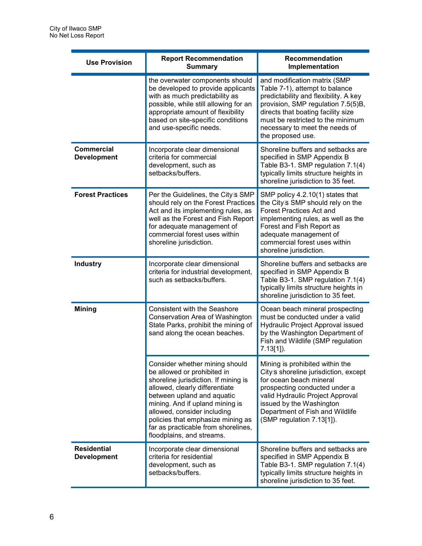| <b>Use Provision</b>                     | <b>Report Recommendation</b><br><b>Summary</b>                                                                                                                                                                                                                                                                                                   | Recommendation<br>Implementation                                                                                                                                                                                                                                                |
|------------------------------------------|--------------------------------------------------------------------------------------------------------------------------------------------------------------------------------------------------------------------------------------------------------------------------------------------------------------------------------------------------|---------------------------------------------------------------------------------------------------------------------------------------------------------------------------------------------------------------------------------------------------------------------------------|
|                                          | the overwater components should<br>be developed to provide applicants<br>with as much predictability as<br>possible, while still allowing for an<br>appropriate amount of flexibility<br>based on site-specific conditions<br>and use-specific needs.                                                                                            | and modification matrix (SMP<br>Table 7-1), attempt to balance<br>predictability and flexibility. A key<br>provision, SMP regulation 7.5(5)B,<br>directs that boating facility size<br>must be restricted to the minimum<br>necessary to meet the needs of<br>the proposed use. |
| <b>Commercial</b><br><b>Development</b>  | Incorporate clear dimensional<br>criteria for commercial<br>development, such as<br>setbacks/buffers.                                                                                                                                                                                                                                            | Shoreline buffers and setbacks are<br>specified in SMP Appendix B<br>Table B3-1. SMP regulation 7.1(4)<br>typically limits structure heights in<br>shoreline jurisdiction to 35 feet.                                                                                           |
| <b>Forest Practices</b>                  | Per the Guidelines, the City's SMP<br>should rely on the Forest Practices<br>Act and its implementing rules, as<br>well as the Forest and Fish Report<br>for adequate management of<br>commercial forest uses within<br>shoreline jurisdiction.                                                                                                  | SMP policy 4.2.10(1) states that<br>the City's SMP should rely on the<br><b>Forest Practices Act and</b><br>implementing rules, as well as the<br>Forest and Fish Report as<br>adequate management of<br>commercial forest uses within<br>shoreline jurisdiction.               |
| <b>Industry</b>                          | Incorporate clear dimensional<br>criteria for industrial development,<br>such as setbacks/buffers.                                                                                                                                                                                                                                               | Shoreline buffers and setbacks are<br>specified in SMP Appendix B<br>Table B3-1. SMP regulation 7.1(4)<br>typically limits structure heights in<br>shoreline jurisdiction to 35 feet.                                                                                           |
| <b>Mining</b>                            | <b>Consistent with the Seashore</b><br>Conservation Area of Washington<br>State Parks, prohibit the mining of<br>sand along the ocean beaches.                                                                                                                                                                                                   | Ocean beach mineral prospecting<br>must be conducted under a valid<br>Hydraulic Project Approval issued<br>by the Washington Department of<br>Fish and Wildlife (SMP regulation<br>$7.13[1]$ ).                                                                                 |
|                                          | Consider whether mining should<br>be allowed or prohibited in<br>shoreline jurisdiction. If mining is<br>allowed, clearly differentiate<br>between upland and aquatic<br>mining. And if upland mining is<br>allowed, consider including<br>policies that emphasize mining as<br>far as practicable from shorelines,<br>floodplains, and streams. | Mining is prohibited within the<br>City's shoreline jurisdiction, except<br>for ocean beach mineral<br>prospecting conducted under a<br>valid Hydraulic Project Approval<br>issued by the Washington<br>Department of Fish and Wildlife<br>(SMP regulation 7.13[1]).            |
| <b>Residential</b><br><b>Development</b> | Incorporate clear dimensional<br>criteria for residential<br>development, such as<br>setbacks/buffers.                                                                                                                                                                                                                                           | Shoreline buffers and setbacks are<br>specified in SMP Appendix B<br>Table B3-1. SMP regulation 7.1(4)<br>typically limits structure heights in<br>shoreline jurisdiction to 35 feet.                                                                                           |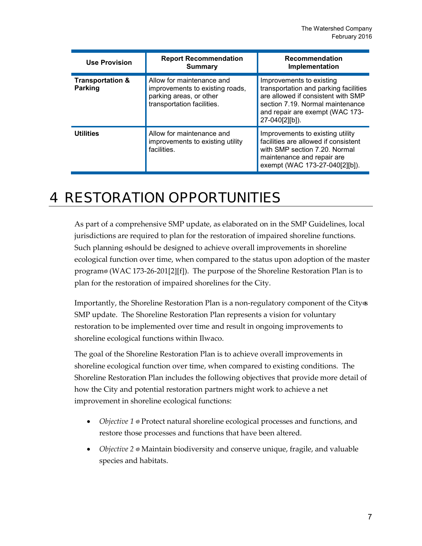| <b>Use Provision</b>                          | <b>Report Recommendation</b><br><b>Summary</b>                                                                        | <b>Recommendation</b><br>Implementation                                                                                                                                                          |
|-----------------------------------------------|-----------------------------------------------------------------------------------------------------------------------|--------------------------------------------------------------------------------------------------------------------------------------------------------------------------------------------------|
| <b>Transportation &amp;</b><br><b>Parking</b> | Allow for maintenance and<br>improvements to existing roads,<br>parking areas, or other<br>transportation facilities. | Improvements to existing<br>transportation and parking facilities<br>are allowed if consistent with SMP<br>section 7.19. Normal maintenance<br>and repair are exempt (WAC 173-<br>27-040[2][b]). |
| <b>Utilities</b>                              | Allow for maintenance and<br>improvements to existing utility<br>facilities.                                          | Improvements to existing utility<br>facilities are allowed if consistent<br>with SMP section 7.20. Normal<br>maintenance and repair are<br>exempt (WAC 173-27-040[2][b]).                        |

## <span id="page-10-0"></span>4 R E S TOR ATION OPPOR TUNITIE S

As part of a comprehensive SMP update, as elaborated on in the SMP Guidelines, local jurisdictions are required to plan for the restoration of impaired shoreline functions. Such planning "should be designed to achieve overall improvements in shoreline ecological function over time, when compared to the status upon adoption of the master program" (WAC 173-26-201[2][f]). The purpose of the Shoreline Restoration Plan is to plan for the restoration of impaired shorelines for the City.

Importantly, the Shoreline Restoration Plan is a non-regulatory component of the City's SMP update. The Shoreline Restoration Plan represents a vision for voluntary restoration to be implemented over time and result in ongoing improvements to shoreline ecological functions within Ilwaco.

The goal of the Shoreline Restoration Plan is to achieve overall improvements in shoreline ecological function over time, when compared to existing conditions. The Shoreline Restoration Plan includes the following objectives that provide more detail of how the City and potential restoration partners might work to achieve a net improvement in shoreline ecological functions:

- *Objective 1* Protect natural shoreline ecological processes and functions, and restore those processes and functions that have been altered.
- *Objective 2* Maintain biodiversity and conserve unique, fragile, and valuable species and habitats.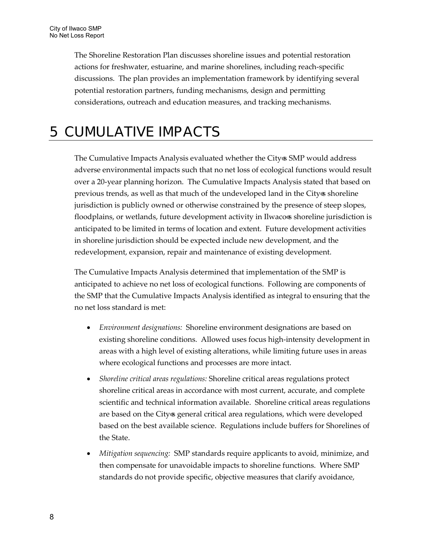The Shoreline Restoration Plan discusses shoreline issues and potential restoration actions for freshwater, estuarine, and marine shorelines, including reach-specific discussions. The plan provides an implementation framework by identifying several potential restoration partners, funding mechanisms, design and permitting considerations, outreach and education measures, and tracking mechanisms.

### <span id="page-11-0"></span>5 CUMUL ATIVE IMP AC TS

The Cumulative Impacts Analysis evaluated whether the City's SMP would address adverse environmental impacts such that no net loss of ecological functions would result over a 20-year planning horizon. The Cumulative Impacts Analysis stated that based on previous trends, as well as that much of the undeveloped land in the City's shoreline jurisdiction is publicly owned or otherwise constrained by the presence of steep slopes, floodplains, or wetlands, future development activity in Ilwaco's shoreline jurisdiction is anticipated to be limited in terms of location and extent. Future development activities in shoreline jurisdiction should be expected include new development, and the redevelopment, expansion, repair and maintenance of existing development.

The Cumulative Impacts Analysis determined that implementation of the SMP is anticipated to achieve no net loss of ecological functions. Following are components of the SMP that the Cumulative Impacts Analysis identified as integral to ensuring that the no net loss standard is met:

- *Environment designations:* Shoreline environment designations are based on existing shoreline conditions. Allowed uses focus high-intensity development in areas with a high level of existing alterations, while limiting future uses in areas where ecological functions and processes are more intact.
- *Shoreline critical areas regulations:* Shoreline critical areas regulations protect shoreline critical areas in accordance with most current, accurate, and complete scientific and technical information available. Shoreline critical areas regulations are based on the City's general critical area regulations, which were developed based on the best available science. Regulations include buffers for Shorelines of the State.
- *Mitigation sequencing:* SMP standards require applicants to avoid, minimize, and then compensate for unavoidable impacts to shoreline functions. Where SMP standards do not provide specific, objective measures that clarify avoidance,